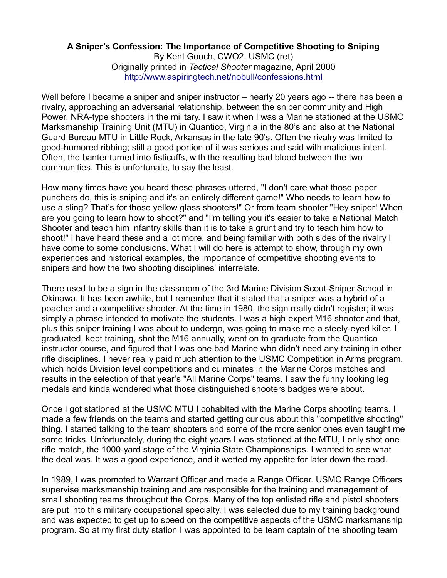## **A Sniper's Confession: The Importance of Competitive Shooting to Sniping**

By Kent Gooch, CWO2, USMC (ret) Originally printed in *Tactical Shooter* magazine, April 2000 <http://www.aspiringtech.net/nobull/confessions.html>

Well before I became a sniper and sniper instructor – nearly 20 years ago -- there has been a rivalry, approaching an adversarial relationship, between the sniper community and High Power, NRA-type shooters in the military. I saw it when I was a Marine stationed at the USMC Marksmanship Training Unit (MTU) in Quantico, Virginia in the 80's and also at the National Guard Bureau MTU in Little Rock, Arkansas in the late 90's. Often the rivalry was limited to good-humored ribbing; still a good portion of it was serious and said with malicious intent. Often, the banter turned into fisticuffs, with the resulting bad blood between the two communities. This is unfortunate, to say the least.

How many times have you heard these phrases uttered, "I don't care what those paper punchers do, this is sniping and it's an entirely different game!" Who needs to learn how to use a sling? That's for those yellow glass shooters!" Or from team shooter "Hey sniper! When are you going to learn how to shoot?" and "I'm telling you it's easier to take a National Match Shooter and teach him infantry skills than it is to take a grunt and try to teach him how to shoot!" I have heard these and a lot more, and being familiar with both sides of the rivalry I have come to some conclusions. What I will do here is attempt to show, through my own experiences and historical examples, the importance of competitive shooting events to snipers and how the two shooting disciplines' interrelate.

There used to be a sign in the classroom of the 3rd Marine Division Scout-Sniper School in Okinawa. It has been awhile, but I remember that it stated that a sniper was a hybrid of a poacher and a competitive shooter. At the time in 1980, the sign really didn't register; it was simply a phrase intended to motivate the students. I was a high expert M16 shooter and that, plus this sniper training I was about to undergo, was going to make me a steely-eyed killer. I graduated, kept training, shot the M16 annually, went on to graduate from the Quantico instructor course, and figured that I was one bad Marine who didn't need any training in other rifle disciplines. I never really paid much attention to the USMC Competition in Arms program, which holds Division level competitions and culminates in the Marine Corps matches and results in the selection of that year's "All Marine Corps" teams. I saw the funny looking leg medals and kinda wondered what those distinguished shooters badges were about.

Once I got stationed at the USMC MTU I cohabited with the Marine Corps shooting teams. I made a few friends on the teams and started getting curious about this "competitive shooting" thing. I started talking to the team shooters and some of the more senior ones even taught me some tricks. Unfortunately, during the eight years I was stationed at the MTU, I only shot one rifle match, the 1000-yard stage of the Virginia State Championships. I wanted to see what the deal was. It was a good experience, and it wetted my appetite for later down the road.

In 1989, I was promoted to Warrant Officer and made a Range Officer. USMC Range Officers supervise marksmanship training and are responsible for the training and management of small shooting teams throughout the Corps. Many of the top enlisted rifle and pistol shooters are put into this military occupational specialty. I was selected due to my training background and was expected to get up to speed on the competitive aspects of the USMC marksmanship program. So at my first duty station I was appointed to be team captain of the shooting team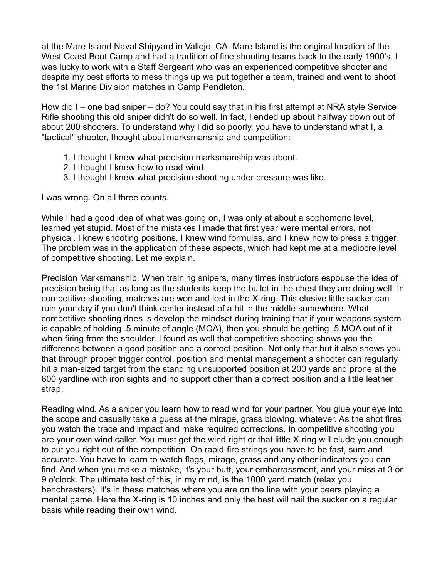at the Mare Island Naval Shipyard in Vallejo, CA. Mare Island is the original location of the West Coast Boot Camp and had a tradition of fine shooting teams back to the early 1900's. I was lucky to work with a Staff Sergeant who was an experienced competitive shooter and despite my best efforts to mess things up we put together a team, trained and went to shoot the 1st Marine Division matches in Camp Pendleton.

How did I – one bad sniper – do? You could say that in his first attempt at NRA style Service Rifle shooting this old sniper didn't do so well. In fact, I ended up about halfway down out of about 200 shooters. To understand why I did so poorly, you have to understand what I, a "tactical" shooter, thought about marksmanship and competition:

- 1. I thought I knew what precision marksmanship was about.
- 2. I thought I knew how to read wind.
- 3. I thought I knew what precision shooting under pressure was like.

I was wrong. On all three counts.

While I had a good idea of what was going on, I was only at about a sophomoric level, learned yet stupid. Most of the mistakes I made that first year were mental errors, not physical. I knew shooting positions, I knew wind formulas, and I knew how to press a trigger. The problem was in the application of these aspects, which had kept me at a mediocre level of competitive shooting. Let me explain.

Precision Marksmanship. When training snipers, many times instructors espouse the idea of precision being that as long as the students keep the bullet in the chest they are doing well. In competitive shooting, matches are won and lost in the X-ring. This elusive little sucker can ruin your day if you don't think center instead of a hit in the middle somewhere. What competitive shooting does is develop the mindset during training that if your weapons system is capable of holding .5 minute of angle (MOA), then you should be getting .5 MOA out of it when firing from the shoulder. I found as well that competitive shooting shows you the difference between a good position and a correct position. Not only that but it also shows you that through proper trigger control, position and mental management a shooter can regularly hit a man-sized target from the standing unsupported position at 200 yards and prone at the 600 yardline with iron sights and no support other than a correct position and a little leather strap.

Reading wind. As a sniper you learn how to read wind for your partner. You glue your eye into the scope and casually take a guess at the mirage, grass blowing, whatever. As the shot fires you watch the trace and impact and make required corrections. In competitive shooting you are your own wind caller. You must get the wind right or that little X-ring will elude you enough to put you right out of the competition. On rapid-fire strings you have to be fast, sure and accurate. You have to learn to watch flags, mirage, grass and any other indicators you can find. And when you make a mistake, it's your butt, your embarrassment, and your miss at 3 or 9 o'clock. The ultimate test of this, in my mind, is the 1000 yard match (relax you benchresters). It's in these matches where you are on the line with your peers playing a mental game. Here the X-ring is 10 inches and only the best will nail the sucker on a regular basis while reading their own wind.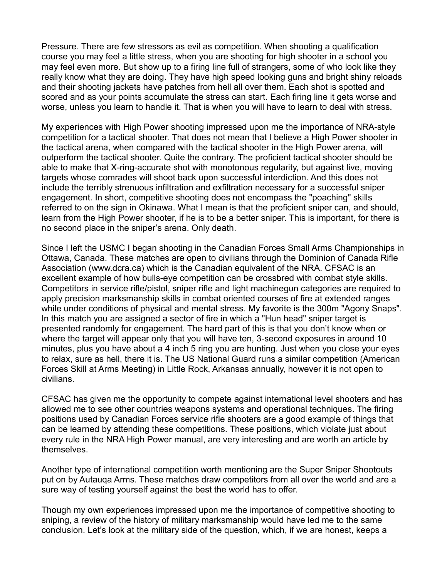Pressure. There are few stressors as evil as competition. When shooting a qualification course you may feel a little stress, when you are shooting for high shooter in a school you may feel even more. But show up to a firing line full of strangers, some of who look like they really know what they are doing. They have high speed looking guns and bright shiny reloads and their shooting jackets have patches from hell all over them. Each shot is spotted and scored and as your points accumulate the stress can start. Each firing line it gets worse and worse, unless you learn to handle it. That is when you will have to learn to deal with stress.

My experiences with High Power shooting impressed upon me the importance of NRA-style competition for a tactical shooter. That does not mean that I believe a High Power shooter in the tactical arena, when compared with the tactical shooter in the High Power arena, will outperform the tactical shooter. Quite the contrary. The proficient tactical shooter should be able to make that X-ring-accurate shot with monotonous regularity, but against live, moving targets whose comrades will shoot back upon successful interdiction. And this does not include the terribly strenuous infiltration and exfiltration necessary for a successful sniper engagement. In short, competitive shooting does not encompass the "poaching" skills referred to on the sign in Okinawa. What I mean is that the proficient sniper can, and should, learn from the High Power shooter, if he is to be a better sniper. This is important, for there is no second place in the sniper's arena. Only death.

Since I left the USMC I began shooting in the Canadian Forces Small Arms Championships in Ottawa, Canada. These matches are open to civilians through the Dominion of Canada Rifle Association (www.dcra.ca) which is the Canadian equivalent of the NRA. CFSAC is an excellent example of how bulls-eye competition can be crossbred with combat style skills. Competitors in service rifle/pistol, sniper rifle and light machinegun categories are required to apply precision marksmanship skills in combat oriented courses of fire at extended ranges while under conditions of physical and mental stress. My favorite is the 300m "Agony Snaps". In this match you are assigned a sector of fire in which a "Hun head" sniper target is presented randomly for engagement. The hard part of this is that you don't know when or where the target will appear only that you will have ten, 3-second exposures in around 10 minutes, plus you have about a 4 inch 5 ring you are hunting. Just when you close your eyes to relax, sure as hell, there it is. The US National Guard runs a similar competition (American Forces Skill at Arms Meeting) in Little Rock, Arkansas annually, however it is not open to civilians.

CFSAC has given me the opportunity to compete against international level shooters and has allowed me to see other countries weapons systems and operational techniques. The firing positions used by Canadian Forces service rifle shooters are a good example of things that can be learned by attending these competitions. These positions, which violate just about every rule in the NRA High Power manual, are very interesting and are worth an article by themselves.

Another type of international competition worth mentioning are the Super Sniper Shootouts put on by Autauqa Arms. These matches draw competitors from all over the world and are a sure way of testing yourself against the best the world has to offer.

Though my own experiences impressed upon me the importance of competitive shooting to sniping, a review of the history of military marksmanship would have led me to the same conclusion. Let's look at the military side of the question, which, if we are honest, keeps a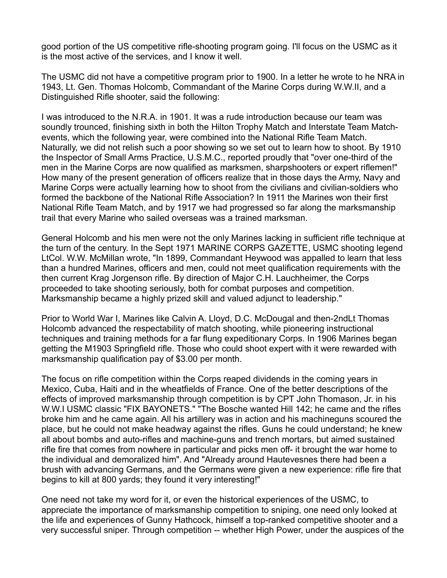good portion of the US competitive rifle-shooting program going. I'll focus on the USMC as it is the most active of the services, and I know it well.

The USMC did not have a competitive program prior to 1900. In a letter he wrote to he NRA in 1943, Lt. Gen. Thomas Holcomb, Commandant of the Marine Corps during W.W.II, and a Distinguished Rifle shooter, said the following:

I was introduced to the N.R.A. in 1901. It was a rude introduction because our team was soundly trounced, finishing sixth in both the Hilton Trophy Match and Interstate Team Matchevents, which the following year, were combined into the National Rifle Team Match. Naturally, we did not relish such a poor showing so we set out to learn how to shoot. By 1910 the Inspector of Small Arms Practice, U.S.M.C., reported proudly that "over one-third of the men in the Marine Corps are now qualified as marksmen, sharpshooters or expert riflemen!" How many of the present generation of officers realize that in those days the Army, Navy and Marine Corps were actually learning how to shoot from the civilians and civilian-soldiers who formed the backbone of the National Rifle Association? In 1911 the Marines won their first National Rifle Team Match, and by 1917 we had progressed so far along the marksmanship trail that every Marine who sailed overseas was a trained marksman.

General Holcomb and his men were not the only Marines lacking in sufficient rifle technique at the turn of the century. In the Sept 1971 MARINE CORPS GAZETTE, USMC shooting legend LtCol. W.W. McMillan wrote, "In 1899, Commandant Heywood was appalled to learn that less than a hundred Marines, officers and men, could not meet qualification requirements with the then current Krag Jorgenson rifle. By direction of Major C.H. Lauchheimer, the Corps proceeded to take shooting seriously, both for combat purposes and competition. Marksmanship became a highly prized skill and valued adjunct to leadership."

Prior to World War I, Marines like Calvin A. Lloyd, D.C. McDougal and then-2ndLt Thomas Holcomb advanced the respectability of match shooting, while pioneering instructional techniques and training methods for a far flung expeditionary Corps. In 1906 Marines began getting the M1903 Springfield rifle. Those who could shoot expert with it were rewarded with marksmanship qualification pay of \$3.00 per month.

The focus on rifle competition within the Corps reaped dividends in the coming years in Mexico, Cuba, Haiti and in the wheatfields of France. One of the better descriptions of the effects of improved marksmanship through competition is by CPT John Thomason, Jr. in his W.W.I USMC classic "FIX BAYONETS." "The Bosche wanted Hill 142; he came and the rifles broke him and he came again. All his artillery was in action and his machineguns scoured the place, but he could not make headway against the rifles. Guns he could understand; he knew all about bombs and auto-rifles and machine-guns and trench mortars, but aimed sustained rifle fire that comes from nowhere in particular and picks men off- it brought the war home to the individual and demoralized him". And "Already around Hautevesnes there had been a brush with advancing Germans, and the Germans were given a new experience: rifle fire that begins to kill at 800 yards; they found it very interesting!"

One need not take my word for it, or even the historical experiences of the USMC, to appreciate the importance of marksmanship competition to sniping, one need only looked at the life and experiences of Gunny Hathcock, himself a top-ranked competitive shooter and a very successful sniper. Through competition -- whether High Power, under the auspices of the